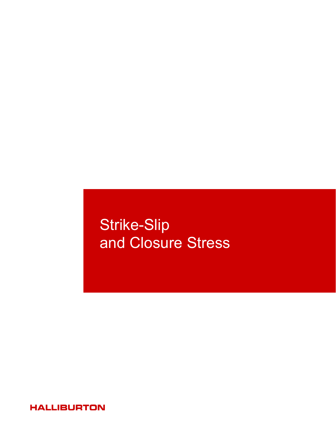# Strike-Slip and Closure Stress

**HALLIBURTON**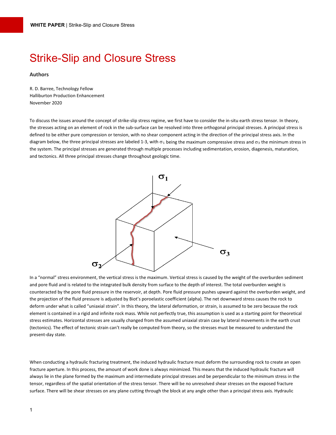## Strike-Slip and Closure Stress

#### **Authors**

R. D. Barree, Technology Fellow Halliburton Production Enhancement November 2020

To discuss the issues around the concept of strike-slip stress regime, we first have to consider the in-situ earth stress tensor. In theory, the stresses acting on an element of rock in the sub-surface can be resolved into three orthogonal principal stresses. A principal stress is defined to be either pure compression or tension, with no shear component acting in the direction of the principal stress axis. In the diagram below, the three principal stresses are labeled 1-3, with  $\sigma_1$  being the maximum compressive stress and  $\sigma_3$  the minimum stress in the system. The principal stresses are generated through multiple processes including sedimentation, erosion, diagenesis, maturation, and tectonics. All three principal stresses change throughout geologic time.



In a "normal" stress environment, the vertical stress is the maximum. Vertical stress is caused by the weight of the overburden sediment and pore fluid and is related to the integrated bulk density from surface to the depth of interest. The total overburden weight is counteracted by the pore fluid pressure in the reservoir, at depth. Pore fluid pressure pushes upward against the overburden weight, and the projection of the fluid pressure is adjusted by Biot's poroelastic coefficient (alpha). The net downward stress causes the rock to deform under what is called "uniaxial strain". In this theory, the lateral deformation, or strain, is assumed to be zero because the rock element is contained in a rigid and infinite rock mass. While not perfectly true, this assumption is used as a starting point for theoretical stress estimates. Horizontal stresses are usually changed from the assumed uniaxial strain case by lateral movements in the earth crust (tectonics). The effect of tectonic strain can't really be computed from theory, so the stresses must be measured to understand the present-day state.

When conducting a hydraulic fracturing treatment, the induced hydraulic fracture must deform the surrounding rock to create an open fracture aperture. In this process, the amount of work done is always minimized. This means that the induced hydraulic fracture will always lie in the plane formed by the maximum and intermediate principal stresses and be perpendicular to the minimum stress in the tensor, regardless of the spatial orientation of the stress tensor. There will be no unresolved shear stresses on the exposed fracture surface. There will be shear stresses on any plane cutting through the block at any angle other than a principal stress axis. Hydraulic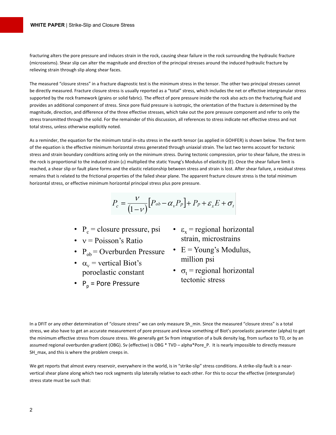fracturing alters the pore pressure and induces strain in the rock, causing shear failure in the rock surrounding the hydraulic fracture (microseisms). Shear slip can alter the magnitude and direction of the principal stresses around the induced hydraulic fracture by relieving strain through slip along shear faces.

The measured "closure stress" in a fracture diagnostic test is the minimum stress in the tensor. The other two principal stresses cannot be directly measured. Fracture closure stress is usually reported as a "total" stress, which includes the net or effective intergranular stress supported by the rock framework (grains or solid fabric). The effect of pore pressure inside the rock also acts on the fracturing fluid and provides an additional component of stress. Since pore fluid pressure is isotropic, the orientation of the fracture is determined by the magnitude, direction, and difference of the three effective stresses, which take out the pore pressure component and refer to only the stress transmitted through the solid. For the remainder of this discussion, all references to stress indicate net effective stress and not total stress, unless otherwise explicitly noted.

As a reminder, the equation for the minimum total in-situ stress in the earth tensor (as applied in GOHFER) is shown below. The first term of the equation is the effective minimum horizontal stress generated through uniaxial strain. The last two terms account for tectonic stress and strain boundary conditions acting only on the minimum stress. During tectonic compression, prior to shear failure, the stress in the rock is proportional to the induced strain (ε) multiplied the static Young's Modulus of elasticity (E). Once the shear failure limit is reached, a shear slip or fault plane forms and the elastic relationship between stress and strain is lost. After shear failure, a residual stress remains that is related to the frictional properties of the failed shear plane. The apparent fracture closure stress is the total minimum horizontal stress, or effective minimum horizontal principal stress plus pore pressure.

$$
P_c = \frac{V}{(1 - V)} [P_{ob} - \alpha_v P_p] + P_p + \varepsilon_x E + \sigma_t
$$

- $P_c$  = closure pressure, psi
- $v = Poisson's Ratio$
- $P_{ob}$  = Overburden Pressure
- $\bullet$   $\alpha_{v}$  = vertical Biot's poroelastic constant
- $P_n$  = Pore Pressure
- $\varepsilon_r$  = regional horizontal strain, microstrains
- $\bullet$  E = Young's Modulus, million psi
- $\bullet$   $\sigma_t$  = regional horizontal tectonic stress

In a DFIT or any other determination of "closure stress" we can only measure Sh\_min. Since the measured "closure stress" is a total stress, we also have to get an accurate measurement of pore pressure and know something of Biot's poroelastic parameter (alpha) to get the minimum effective stress from closure stress. We generally get Sv from integration of a bulk density log, from surface to TD, or by an assumed regional overburden gradient (OBG). Sv (effective) is OBG \* TVD – alpha\*Pore\_P. It is nearly impossible to directly measure SH max, and this is where the problem creeps in.

We get reports that almost every reservoir, everywhere in the world, is in "strike-slip" stress conditions. A strike-slip fault is a nearvertical shear plane along which two rock segments slip laterally relative to each other. For this to occur the effective (intergranular) stress state must be such that: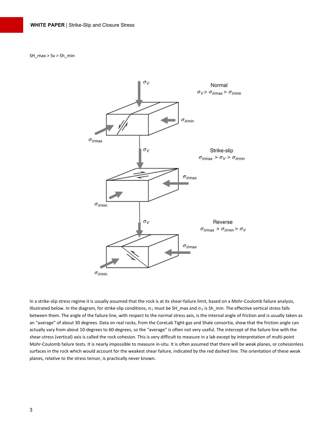SH\_max > Sv > Sh\_min



In a strike-slip stress regime it is usually assumed that the rock is at its shear-failure limit, based on a Mohr-Coulomb failure analysis, illustrated below. In the diagram, for strike-slip conditions,  $\sigma_1$  must be SH\_max and  $\sigma_3$  is Sh\_min. The effective vertical stress falls between them. The angle of the failure line, with respect to the normal stress axis, is the internal angle of friction and is usually taken as an "average" of about 30 degrees. Data on real rocks, from the CoreLab Tight-gas and Shale consortia, show that the friction angle can actually vary from about 10-degrees to 60-degrees, so the "average" is often not very useful. The intercept of the failure line with the shear-stress (vertical) axis is called the rock cohesion. This is very difficult to measure in a lab except by interpretation of multi-point Mohr-Coulomb failure tests. It is nearly impossible to measure in-situ. It is often assumed that there will be weak planes, or cohesionless surfaces in the rock which would account for the weakest shear failure, indicated by the red dashed line. The orientation of these weak planes, relative to the stress tensor, is practically never known.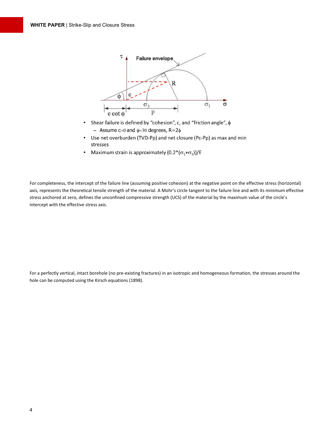

- Shear failure is defined by "cohesion", c, and "friction angle",  $\phi$  $\bullet$ - Assume  $c=0$  and  $\phi=30$  degrees,  $R=2\phi$
- Use net overburden (TVD-Pp) and net closure (Pc-Pp) as max and min  $\bullet$ stresses
- Maximum strain is approximately  $\{0.2^*(\sigma_1+\sigma_3)\}$ /E  $\bullet$

For completeness, the intercept of the failure line (assuming positive cohesion) at the negative point on the effective stress (horizontal) axis, represents the theoretical tensile strength of the material. A Mohr's circle tangent to the failure line and with its minimum effective stress anchored at zero, defines the unconfined compressive strength (UCS) of the material by the maximum value of the circle's intercept with the effective stress axis.

For a perfectly vertical, intact borehole (no pre-existing fractures) in an isotropic and homogeneous formation, the stresses around the hole can be computed using the Kirsch equations (1898).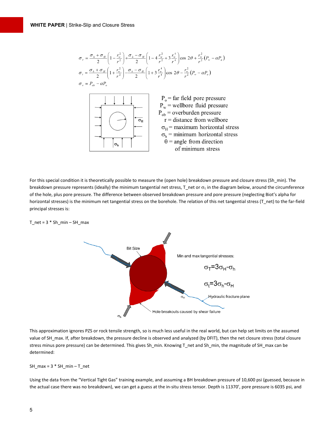$$
\sigma_r = \frac{\sigma_h + \sigma_H}{2} \left( 1 - \frac{r_w^2}{r^2} \right) + \frac{\sigma_h - \sigma_H}{2} \left( 1 - 4 \frac{r_w^2}{r^2} + 3 \frac{r_v^4}{r^4} \right) \cos 2\theta + \frac{r_w^2}{r^2} (P_w - \alpha P_o)
$$
\n
$$
\sigma_r = \frac{\sigma_h + \sigma_H}{2} \left( 1 + \frac{r_w^2}{r^2} \right) - \frac{\sigma_h - \sigma_H}{2} \left( 1 + 3 \frac{r_v^4}{r^4} \right) \cos 2\theta - \frac{r_w^2}{r^2} (P_w - \alpha P_o)
$$
\n
$$
\sigma_v = P_{ob} - \alpha P_o
$$
\n
$$
\sigma_v = \frac{\sigma_h - \sigma_H}{2} \left( 1 + \frac{r_w^2}{r^2} \right) - \frac{\sigma_h - \sigma_H}{2} \left( 1 + 3 \frac{r_v^4}{r^4} \right) \cos 2\theta - \frac{r_w^2}{r^2} (P_w - \alpha P_o)
$$
\n
$$
\sigma_v = \frac{\sigma_v}{2} \left( 1 + \frac{\sigma_v}{r^2} \right) - \frac{\sigma_h}{2} \left( 1 + \frac{\sigma_v}{r^2} \right) \cos 2\theta - \frac{r_w^2}{r^2} (P_w - \alpha P_o)
$$
\n
$$
\sigma_v = \frac{\sigma_v}{2} \left( 1 + \frac{\sigma_v}{r^2} \right) - \frac{\sigma_h}{2} \left( 1 + \frac{\sigma_v}{r^2} \right) \cos 2\theta - \frac{r_w^2}{r^2} (P_w - \alpha P_o)
$$
\n
$$
\sigma_v = \frac{\sigma_v}{2} \left( 1 + \frac{\sigma_v}{r^2} \right) - \frac{\sigma_h}{2} \left( 1 + \frac{\sigma_v}{r^2} \right) \cos 2\theta - \frac{r_w^2}{r^2} (P_w - \alpha P_o)
$$
\n
$$
\sigma_v = \frac{\sigma_v}{2} \left( 1 + \frac{\sigma_v}{r^2} \right) \cos 2\theta - \frac{r_w^2}{r^2} (P_w - \alpha P_o)
$$
\n
$$
\sigma_v = \frac{\sigma_v}{2} \left( 1 + \frac{\sigma_v}{r^2} \right) \cos 2\theta - \frac{r_w^
$$

For this special condition it is theoretically possible to measure the (open hole) breakdown pressure and closure stress (Sh\_min). The breakdown pressure represents (ideally) the minimum tangential net stress,  $T$  net or  $\sigma_t$  in the diagram below, around the circumference of the hole, plus pore pressure. The difference between observed breakdown pressure and pore pressure (neglecting Biot's alpha for horizontal stresses) is the minimum net tangential stress on the borehole. The relation of this net tangential stress (T\_net) to the far-field principal stresses is:





This approximation ignores PZS or rock tensile strength, so is much less useful in the real world, but can help set limits on the assumed value of SH\_max. If, after breakdown, the pressure decline is observed and analyzed (by DFIT), then the net closure stress (total closure stress minus pore pressure) can be determined. This gives Sh\_min. Knowing T\_net and Sh\_min, the magnitude of SH\_max can be determined:

 $SH\_max = 3 * SH\_min - T\_net$ 

Using the data from the "Vertical Tight Gas" training example, and assuming a BH breakdown pressure of 10,600 psi (guessed, because in the actual case there was no breakdown), we can get a guess at the in-situ stress tensor. Depth is 11370', pore pressure is 6035 psi, and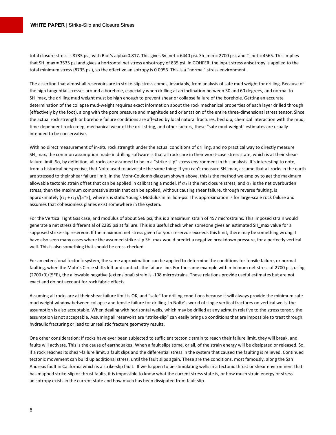total closure stress is 8735 psi, with Biot's alpha=0.817. This gives Sv\_net = 6440 psi. Sh\_min = 2700 psi, and T\_net = 4565. This implies that SH max = 3535 psi and gives a horizontal net stress anisotropy of 835 psi. In GOHFER, the input stress anisotropy is applied to the total minimum stress (8735 psi), so the effective anisotropy is 0.0956. This is a "normal" stress environment.

The assertion that almost all reservoirs are in strike-slip stress comes, invariably, from analysis of safe mud weight for drilling. Because of the high tangential stresses around a borehole, especially when drilling at an inclination between 30 and 60 degrees, and normal to SH max, the drilling mud weight must be high enough to prevent shear or collapse failure of the borehole. Getting an accurate determination of the collapse mud-weight requires exact information about the rock mechanical properties of each layer drilled through (effectively by the foot), along with the pore pressure and magnitude and orientation of the entire three-dimensional stress tensor. Since the actual rock strength or borehole failure conditions are affected by local natural fractures, bed dip, chemical interaction with the mud, time-dependent rock creep, mechanical wear of the drill string, and other factors, these "safe mud-weight" estimates are usually intended to be conservative.

With no direct measurement of in-situ rock strength under the actual conditions of drilling, and no practical way to directly measure SH\_max, the common assumption made in drilling software is that all rocks are in their worst-case stress state, which is at their shearfailure limit. So, by definition, all rocks are assumed to be in a "strike-slip" stress environment in this analysis. It's interesting to note, from a historical perspective, that Nolte used to advocate the same thing: If you can't measure SH\_max, assume that all rocks in the earth are stressed to their shear failure limit. In the Mohr-Coulomb diagram shown above, this is the method we employ to get the maximum allowable tectonic strain offset that can be applied in calibrating a model. If  $\sigma_3$  is the net closure stress, and  $\sigma_1$  is the net overburden stress, then the maximum compressive strain that can be applied, without causing shear failure, through reverse faulting, is approximately  $(\sigma_1 + \sigma_3)/(5 * E)$ , where E is static Young's Modulus in million-psi. This approximation is for large-scale rock failure and assumes that cohesionless planes exist somewhere in the system.

For the Vertical Tight Gas case, and modulus of about 5e6 psi, this is a maximum strain of 457 microstrains. This imposed strain would generate a net stress differential of 2285 psi at failure. This is a useful check when someone gives an estimated SH\_max value for a supposed strike-slip reservoir. If the maximum net stress given for your reservoir exceeds this limit, there may be something wrong. I have also seen many cases where the assumed strike-slip SH\_max would predict a negative breakdown pressure, for a perfectly vertical well. This is also something that should be cross-checked.

For an extensional tectonic system, the same approximation can be applied to determine the conditions for tensile failure, or normal faulting, when the Mohr's Circle shifts left and contacts the failure line. For the same example with minimum net stress of 2700 psi, using (2700+0)/(5\*E), the allowable negative (extensional) strain is -108 microstrains. These relations provide useful estimates but are not exact and do not account for rock fabric effects.

Assuming all rocks are at their shear failure limit is OK, and "safe" for drilling conditions because it will always provide the minimum safe mud weight window between collapse and tensile failure for drilling. In Nolte's world of single vertical fractures on vertical wells, the assumption is also acceptable. When dealing with horizontal wells, which may be drilled at any azimuth relative to the stress tensor, the assumption is not acceptable. Assuming all reservoirs are "strike-slip" can easily bring up conditions that are impossible to treat through hydraulic fracturing or lead to unrealistic fracture geometry results.

One other consideration: If rocks have ever been subjected to sufficient tectonic strain to reach their failure limit, they will break, and faults will activate. This is the cause of earthquakes! When a fault slips some, or all, of the strain energy will be dissipated or released. So, if a rock reaches its shear-failure limit, a fault slips and the differential stress in the system that caused the faulting is relieved. Continued tectonic movement can build up additional stress, until the fault slips again. These are the conditions, most famously, along the San Andreas fault in California which is a strike-slip fault. If we happen to be stimulating wells in a tectonic thrust or shear environment that has mapped strike-slip or thrust faults, it is impossible to know what the current stress state is, or how much strain energy or stress anisotropy exists in the current state and how much has been dissipated from fault slip.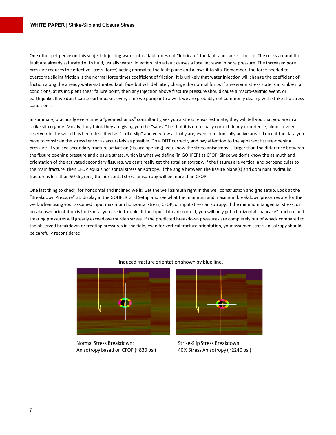One other pet peeve on this subject: Injecting water into a fault does not "lubricate" the fault and cause it to slip. The rocks around the fault are already saturated with fluid, usually water. Injection into a fault causes a local increase in pore pressure. The increased pore pressure reduces the effective stress (force) acting normal to the fault plane and allows it to slip. Remember, the force needed to overcome sliding friction is the normal force times coefficient of friction. It is unlikely that water injection will change the coefficient of friction along the already water-saturated fault face but will definitely change the normal force. If a reservoir stress state is in strike-slip conditions, at its incipient shear failure point, then any injection above fracture pressure should cause a macro-seismic event, or earthquake. If we don't cause earthquakes every time we pump into a well, we are probably not commonly dealing with strike-slip stress conditions.

In summary, practically every time a "geomechanics" consultant gives you a stress tensor estimate, they will tell you that you are in a strike-slip regime. Mostly, they think they are giving you the "safest" bet but it is not usually correct. In my experience, almost every reservoir in the world has been described as "strike-slip" and very few actually are, even in tectonically active areas. Look at the data you have to constrain the stress tensor as accurately as possible. Do a DFIT correctly and pay attention to the apparent fissure-opening pressure. If you see secondary fracture activation (fissure opening), you know the stress anisotropy is larger than the difference between the fissure opening pressure and closure stress, which is what we define (in GOHFER) as CFOP. Since we don't know the azimuth and orientation of the activated secondary fissures, we can't really get the total anisotropy. If the fissures are vertical and perpendicular to the main fracture, then CFOP equals horizontal stress anisotropy. If the angle between the fissure plane(s) and dominant hydraulic fracture is less than 90-degrees, the horizontal stress anisotropy will be more than CFOP.

One last thing to check, for horizontal and inclined wells: Get the well azimuth right in the well construction and grid setup. Look at the "Breakdown Pressure" 3D display in the GOHFER Grid Setup and see what the minimum and maximum breakdown pressures are for the well, when using your assumed input maximum horizontal stress, CFOP, or input stress anisotropy. If the minimum tangential stress, or breakdown orientation is horizontal you are in trouble. If the input data are correct, you will only get a horizontal "pancake" fracture and treating pressures will greatly exceed overburden stress. If the predicted breakdown pressures are completely out of whack compared to the observed breakdown or treating pressures in the field, even for vertical fracture orientation, your assumed stress anisotropy should be carefully reconsidered.



Induced fracture orientation shown by blue line.

Normal Stress Breakdown: Anisotropy based on CFOP (~830 psi)



Strike-Slip Stress Breakdown: 40% Stress Anisotropy (~2240 psi)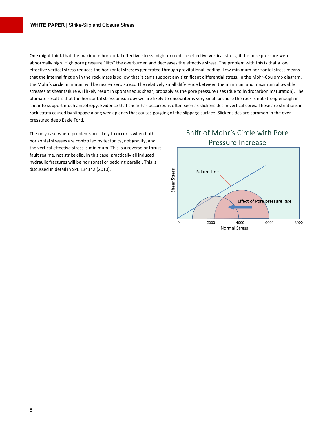One might think that the maximum horizontal effective stress might exceed the effective vertical stress, if the pore pressure were abnormally high. High pore pressure "lifts" the overburden and decreases the effective stress. The problem with this is that a low effective vertical stress reduces the horizontal stresses generated through gravitational loading. Low minimum horizontal stress means that the internal friction in the rock mass is so low that it can't support any significant differential stress. In the Mohr-Coulomb diagram, the Mohr's circle minimum will be nearer zero stress. The relatively small difference between the minimum and maximum allowable stresses at shear failure will likely result in spontaneous shear, probably as the pore pressure rises (due to hydrocarbon maturation). The ultimate result is that the horizontal stress anisotropy we are likely to encounter is very small because the rock is not strong enough in shear to support much anisotropy. Evidence that shear has occurred is often seen as slickensides in vertical cores. These are striations in rock strata caused by slippage along weak planes that causes gouging of the slippage surface. Slickensides are common in the overpressured deep Eagle Ford.

The only case where problems are likely to occur is when both horizontal stresses are controlled by tectonics, not gravity, and the vertical effective stress is minimum. This is a reverse or thrust fault regime, not strike-slip. In this case, practically all induced hydraulic fractures will be horizontal or bedding parallel. This is discussed in detail in SPE 134142 (2010).

### Shift of Mohr's Circle with Pore Pressure Increase

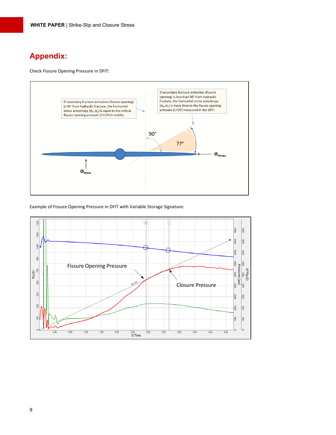### **Appendix:**

Check Fissure Opening Pressure in DFIT:



Example of Fissure Opening Pressure in DFIT with Variable Storage Signature:

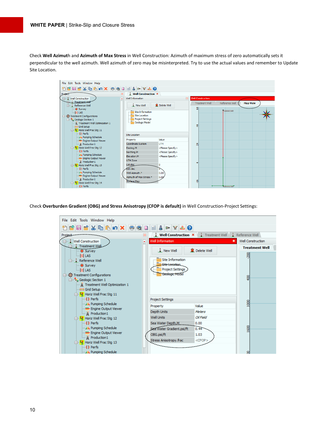Check **Well Azimut**h and **Azimuth of Max Stress** in Well Construction: Azimuth of maximum stress of zero automatically sets it perpendicular to the well azimuth. Well azimuth of zero may be misinterpreted. Try to use the actual values and remember to Update Site Location.



Check **Overburden Gradient (OBG) and Stress Anisotropy (CFOP is default)** in Well Construction-Project Settings: